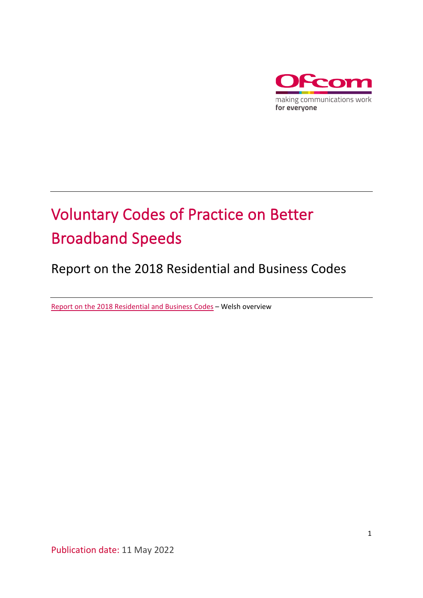

# Voluntary Codes of Practice on Better Broadband Speeds

## Report on the 2018 Residential and Business Codes

[Report on the 2018 Residential and Business Codes](https://www.ofcom.org.uk/__data/assets/pdf_file/0024/237453/Codau-Ymarfer-Gwirfoddol-ar-Gyflymder-Band-Eang-Gwell-Trosolwg.pdf) – Welsh overview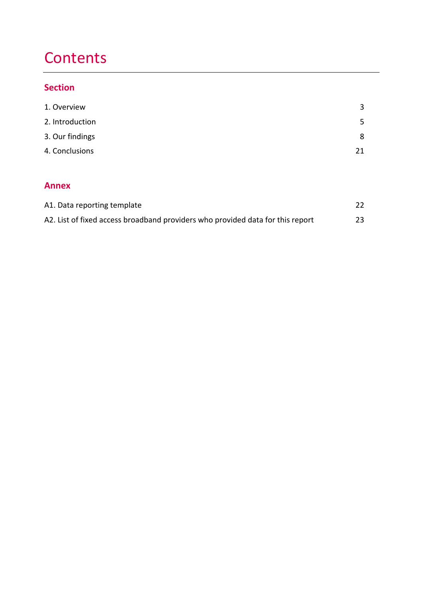# **Contents**

## **Section**

| 1. Overview                 | 3  |
|-----------------------------|----|
| 2. Introduction             | 5  |
| 3. Our findings             | 8  |
| 4. Conclusions              | 21 |
|                             |    |
| <b>Annex</b>                |    |
| A1. Data reporting template | 22 |

| A2. List of fixed access broadband providers who provided data for this report | 23 |
|--------------------------------------------------------------------------------|----|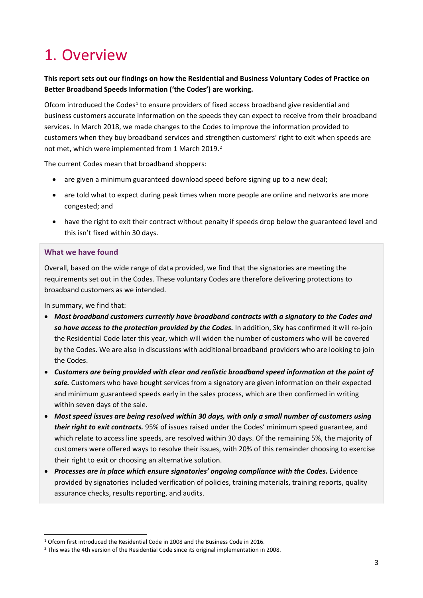# <span id="page-2-0"></span>1. Overview

#### **This report sets out our findings on how the Residential and Business Voluntary Codes of Practice on Better Broadband Speeds Information ('the Codes') are working.**

Ofcom introduced the Codes<sup>[1](#page-2-1)</sup> to ensure providers of fixed access broadband give residential and business customers accurate information on the speeds they can expect to receive from their broadband services. In March 2018, we made changes to the Codes to improve the information provided to customers when they buy broadband services and strengthen customers' right to exit when speeds are not met, which were implemented from 1 March [2](#page-2-2)019.<sup>2</sup>

The current Codes mean that broadband shoppers:

- are given a minimum guaranteed download speed before signing up to a new deal;
- are told what to expect during peak times when more people are online and networks are more congested; and
- have the right to exit their contract without penalty if speeds drop below the guaranteed level and this isn't fixed within 30 days.

#### **What we have found**

Overall, based on the wide range of data provided, we find that the signatories are meeting the requirements set out in the Codes. These voluntary Codes are therefore delivering protections to broadband customers as we intended.

In summary, we find that:

- *Most broadband customers currently have broadband contracts with a signatory to the Codes and so have access to the protection provided by the Codes.* In addition, Sky has confirmed it will re-join the Residential Code later this year, which will widen the number of customers who will be covered by the Codes. We are also in discussions with additional broadband providers who are looking to join the Codes.
- *Customers are being provided with clear and realistic broadband speed information at the point of sale.* Customers who have bought services from a signatory are given information on their expected and minimum guaranteed speeds early in the sales process, which are then confirmed in writing within seven days of the sale.
- *Most speed issues are being resolved within 30 days, with only a small number of customers using their right to exit contracts.* 95% of issues raised under the Codes' minimum speed guarantee, and which relate to access line speeds, are resolved within 30 days. Of the remaining 5%, the majority of customers were offered ways to resolve their issues, with 20% of this remainder choosing to exercise their right to exit or choosing an alternative solution.
- *Processes are in place which ensure signatories' ongoing compliance with the Codes.* Evidence provided by signatories included verification of policies, training materials, training reports, quality assurance checks, results reporting, and audits.

<span id="page-2-1"></span><sup>1</sup> Ofcom first introduced the Residential Code in 2008 and the Business Code in 2016.

<span id="page-2-2"></span><sup>&</sup>lt;sup>2</sup> This was the 4th version of the Residential Code since its original implementation in 2008.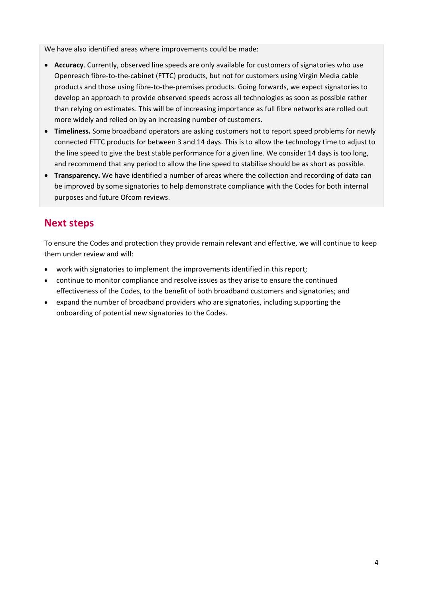We have also identified areas where improvements could be made:

- **Accuracy**. Currently, observed line speeds are only available for customers of signatories who use Openreach fibre-to-the-cabinet (FTTC) products, but not for customers using Virgin Media cable products and those using fibre-to-the-premises products. Going forwards, we expect signatories to develop an approach to provide observed speeds across all technologies as soon as possible rather than relying on estimates. This will be of increasing importance as full fibre networks are rolled out more widely and relied on by an increasing number of customers.
- **Timeliness.** Some broadband operators are asking customers not to report speed problems for newly connected FTTC products for between 3 and 14 days. This is to allow the technology time to adjust to the line speed to give the best stable performance for a given line. We consider 14 days is too long, and recommend that any period to allow the line speed to stabilise should be as short as possible.
- **Transparency.** We have identified a number of areas where the collection and recording of data can be improved by some signatories to help demonstrate compliance with the Codes for both internal purposes and future Ofcom reviews.

## **Next steps**

To ensure the Codes and protection they provide remain relevant and effective, we will continue to keep them under review and will:

- work with signatories to implement the improvements identified in this report;
- continue to monitor compliance and resolve issues as they arise to ensure the continued effectiveness of the Codes, to the benefit of both broadband customers and signatories; and
- expand the number of broadband providers who are signatories, including supporting the onboarding of potential new signatories to the Codes.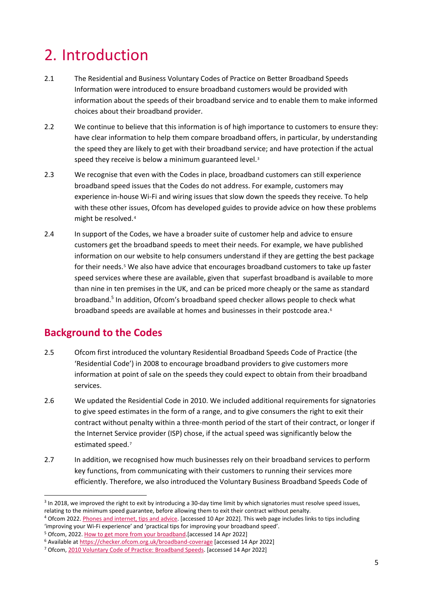# <span id="page-4-0"></span>2. Introduction

- 2.1 The Residential and Business Voluntary Codes of Practice on Better Broadband Speeds Information were introduced to ensure broadband customers would be provided with information about the speeds of their broadband service and to enable them to make informed choices about their broadband provider.
- 2.2 We continue to believe that this information is of high importance to customers to ensure they: have clear information to help them compare broadband offers, in particular, by understanding the speed they are likely to get with their broadband service; and have protection if the actual speed they receive is below a minimum guaranteed level.<sup>[3](#page-4-2)</sup>
- 2.3 We recognise that even with the Codes in place, broadband customers can still experience broadband speed issues that the Codes do not address. For example, customers may experience in-house Wi-Fi and wiring issues that slow down the speeds they receive. To help with these other issues, Ofcom has developed guides to provide advice on how these problems might be resolved.[4](#page-4-3)
- <span id="page-4-1"></span>2.4 In support of the Codes, we have a broader suite of customer help and advice to ensure customers get the broadband speeds to meet their needs. For example, we have published information on our website to help consumers understand if they are getting the best package for their needs.<sup>[5](#page-4-4)</sup> We also have advice that encourages broadband customers to take up faster speed services where these are available, given that superfast broadband is available to more than nine in ten premises in the UK, and can be priced more cheaply or the same as standard broadband[.](#page-4-1) <sup>5</sup> In addition, Ofcom's broadband speed checker allows people to check what broadband speeds are available at homes and businesses in their postcode area.<sup>[6](#page-4-5)</sup>

## **Background to the Codes**

- 2.5 Ofcom first introduced the voluntary Residential Broadband Speeds Code of Practice (the 'Residential Code') in 2008 to encourage broadband providers to give customers more information at point of sale on the speeds they could expect to obtain from their broadband services.
- 2.6 We updated the Residential Code in 2010. We included additional requirements for signatories to give speed estimates in the form of a range, and to give consumers the right to exit their contract without penalty within a three-month period of the start of their contract, or longer if the Internet Service provider (ISP) chose, if the actual speed was significantly below the estimated speed.<sup>[7](#page-4-6)</sup>
- 2.7 In addition, we recognised how much businesses rely on their broadband services to perform key functions, from communicating with their customers to running their services more efficiently. Therefore, we also introduced the Voluntary Business Broadband Speeds Code of

<span id="page-4-2"></span><sup>&</sup>lt;sup>3</sup> In 2018, we improved the right to exit by introducing a 30-day time limit by which signatories must resolve speed issues, relating to the minimum speed guarantee, before allowing them to exit their contract without penalty.

<span id="page-4-3"></span><sup>4</sup> Ofcom 2022[. Phones and internet, tips and advice.](https://www.ofcom.org.uk/phones-telecoms-and-internet/advice-for-consumers/advice) [accessed 10 Apr 2022]. This web page includes links to tips including 'improving your Wi-Fi experience' and 'practical tips for improving your broadband speed'.

<span id="page-4-4"></span><sup>5</sup> Ofcom, 2022[. How to get more from your broadband.\[](https://www.ofcom.org.uk/phones-telecoms-and-internet/advice-for-consumers/advice/get-more-from-your-broadband)accessed 14 Apr 2022]

<span id="page-4-5"></span><sup>6</sup> Available a[t https://checker.ofcom.org.uk/broadband-coverage](https://checker.ofcom.org.uk/broadband-coverage) [accessed 14 Apr 2022]

<span id="page-4-6"></span><sup>7</sup> Ofcom[, 2010 Voluntary Code of Practice: Broadband Speeds.](https://www.ofcom.org.uk/__data/assets/pdf_file/0030/85854/Broadband_Speeds_Code_2010.pdf) [accessed 14 Apr 2022]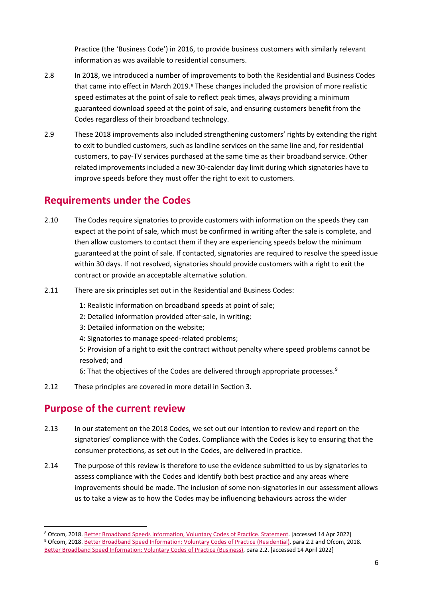Practice (the 'Business Code') in 2016, to provide business customers with similarly relevant information as was available to residential consumers.

- 2.8 In 2018, we introduced a number of improvements to both the Residential and Business Codes that came into effect in March 2019.<sup>[8](#page-5-0)</sup> These changes included the provision of more realistic speed estimates at the point of sale to reflect peak times, always providing a minimum guaranteed download speed at the point of sale, and ensuring customers benefit from the Codes regardless of their broadband technology.
- 2.9 These 2018 improvements also included strengthening customers' rights by extending the right to exit to bundled customers, such as landline services on the same line and, for residential customers, to pay-TV services purchased at the same time as their broadband service. Other related improvements included a new 30-calendar day limit during which signatories have to improve speeds before they must offer the right to exit to customers.

## **Requirements under the Codes**

- 2.10 The Codes require signatories to provide customers with information on the speeds they can expect at the point of sale, which must be confirmed in writing after the sale is complete, and then allow customers to contact them if they are experiencing speeds below the minimum guaranteed at the point of sale. If contacted, signatories are required to resolve the speed issue within 30 days. If not resolved, signatories should provide customers with a right to exit the contract or provide an acceptable alternative solution.
- 2.11 There are six principles set out in the Residential and Business Codes:
	- 1: Realistic information on broadband speeds at point of sale;
	- 2: Detailed information provided after-sale, in writing;
	- 3: Detailed information on the website;
	- 4: Signatories to manage speed-related problems;
	- 5: Provision of a right to exit the contract without penalty where speed problems cannot be resolved; and
	- 6: That the objectives of the Codes are delivered through appropriate processes.<sup>[9](#page-5-1)</sup>
- 2.12 These principles are covered in more detail in Section 3.

## **Purpose of the current review**

- 2.13 In our statement on the 2018 Codes, we set out our intention to review and report on the signatories' compliance with the Codes. Compliance with the Codes is key to ensuring that the consumer protections, as set out in the Codes, are delivered in practice.
- 2.14 The purpose of this review is therefore to use the evidence submitted to us by signatories to assess compliance with the Codes and identify both best practice and any areas where improvements should be made. The inclusion of some non-signatories in our assessment allows us to take a view as to how the Codes may be influencing behaviours across the wider

<span id="page-5-0"></span><sup>8</sup> Ofcom, 2018[. Better Broadband Speeds Information, Voluntary Codes of Practice. Statement.](https://www.ofcom.org.uk/__data/assets/pdf_file/0024/111696/statement-broadband-speeds.pdf) [accessed 14 Apr 2022]

<span id="page-5-1"></span><sup>9</sup> Ofcom, 2018[. Better Broadband Speed Information: Voluntary Codes of Practice \(Residential\),](https://www.ofcom.org.uk/__data/assets/pdf_file/0026/111698/statement-voluntary-code-practice-residential.pdf) para 2.2 and Ofcom, 2018. [Better Broadband Speed Information: Voluntary Codes of Practice \(Business\),](https://www.ofcom.org.uk/__data/assets/pdf_file/0027/111699/statement-voluntary-code-practice-business.pdf) para 2.2. [accessed 14 April 2022]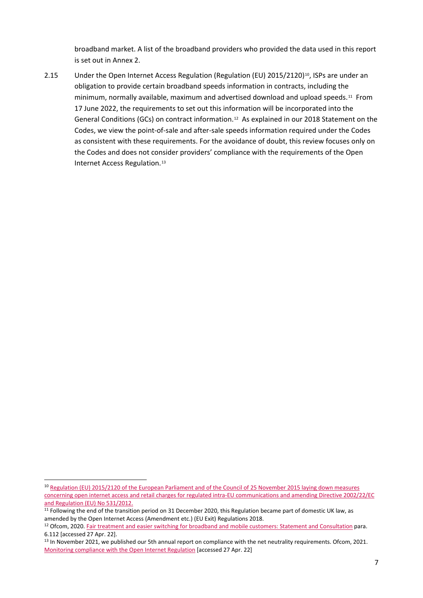broadband market. A list of the broadband providers who provided the data used in this report is set out in Annex 2.

2.15 Under the Open Internet Access Regulation (Regulation (EU) 2015/2120)<sup>[10](#page-6-0)</sup>, ISPs are under an obligation to provide certain broadband speeds information in contracts, including the minimum, normally available, maximum and advertised download and upload speeds.[11](#page-6-1) From 17 June 2022, the requirements to set out this information will be incorporated into the General Conditions (GCs) on contract information.<sup>12</sup> As explained in our 2018 Statement on the Codes, we view the point-of-sale and after-sale speeds information required under the Codes as consistent with these requirements. For the avoidance of doubt, this review focuses only on the Codes and does not consider providers' compliance with the requirements of the Open Internet Access Regulation.[13](#page-6-3)

<span id="page-6-0"></span><sup>10</sup> [Regulation \(EU\) 2015/2120 of the European Parliament and of the Council of 25 November 2015 laying down measures](https://www.legislation.gov.uk/eur/2015/2120/contents)  [concerning open internet access and retail charges for regulated intra-EU communications and amending Directive 2002/22/EC](https://www.legislation.gov.uk/eur/2015/2120/contents)  [and Regulation \(EU\) No 531/2012.](https://www.legislation.gov.uk/eur/2015/2120/contents)

<span id="page-6-1"></span> $11$  Following the end of the transition period on 31 December 2020, this Regulation became part of domestic UK law, as amended by the Open Internet Access (Amendment etc.) (EU Exit) Regulations 2018.

<span id="page-6-2"></span><sup>&</sup>lt;sup>12</sup> Ofcom, 2020[. Fair treatment and easier switching for broadband and mobile customers: Statement and Consultation](https://www.ofcom.org.uk/__data/assets/pdf_file/0023/204980/statement-eecc-revised-proposals.pdf) para. 6.112 [accessed 27 Apr. 22].

<span id="page-6-3"></span><sup>&</sup>lt;sup>13</sup> In November 2021, we published our 5th annual report on compliance with the net neutrality requirements. Ofcom, 2021. [Monitoring compliance with the Open Internet Regulation](https://www.ofcom.org.uk/__data/assets/pdf_file/0028/227485/Monitoring-compliance-with-the-EU-Open-Internet-Regulation_2021.pdf) [accessed 27 Apr. 22]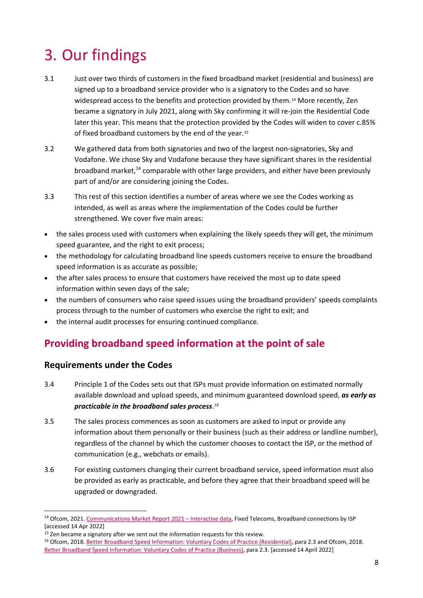# <span id="page-7-0"></span>3. Our findings

- <span id="page-7-1"></span>3.1 Just over two thirds of customers in the fixed broadband market (residential and business) are signed up to a broadband service provider who is a signatory to the Codes and so have widespread access to the benefits and protection provided by them.[14](#page-7-2) More recently, Zen became a signatory in July 2021, along with Sky confirming it will re-join the Residential Code later this year. This means that the protection provided by the Codes will widen to cover c.85% of fixed broadband customers by the end of the year.<sup>[15](#page-7-3)</sup>
- 3.2 We gathered data from both signatories and two of the largest non-signatories, Sky and Vodafone. We chose Sky and Vodafone because they have significant shares in the residential broadband market, [14](#page-7-1) comparable with other large providers, and either have been previously part of and/or are considering joining the Codes.
- 3.3 This rest of this section identifies a number of areas where we see the Codes working as intended, as well as areas where the implementation of the Codes could be further strengthened. We cover five main areas:
- the sales process used with customers when explaining the likely speeds they will get, the minimum speed guarantee, and the right to exit process;
- the methodology for calculating broadband line speeds customers receive to ensure the broadband speed information is as accurate as possible;
- the after sales process to ensure that customers have received the most up to date speed information within seven days of the sale;
- the numbers of consumers who raise speed issues using the broadband providers' speeds complaints process through to the number of customers who exercise the right to exit; and
- the internal audit processes for ensuring continued compliance.

## **Providing broadband speed information at the point of sale**

### **Requirements under the Codes**

- 3.4 Principle 1 of the Codes sets out that ISPs must provide information on estimated normally available download and upload speeds, and minimum guaranteed download speed, *as early as practicable in the broadband sales process*.[16](#page-7-4)
- 3.5 The sales process commences as soon as customers are asked to input or provide any information about them personally or their business (such as their address or landline number), regardless of the channel by which the customer chooses to contact the ISP, or the method of communication (e.g., webchats or emails).
- 3.6 For existing customers changing their current broadband service, speed information must also be provided as early as practicable, and before they agree that their broadband speed will be upgraded or downgraded.

<span id="page-7-2"></span><sup>&</sup>lt;sup>14</sup> Ofcom, 2021[. Communications Market Report 2021 –](https://www.ofcom.org.uk/research-and-data/multi-sector-research/cmr/cmr-2021/interactive-data) Interactive data, Fixed Telecoms, Broadband connections by ISP [accessed 14 Apr 2022]

<span id="page-7-3"></span> $15$  Zen became a signatory after we sent out the information requests for this review.

<span id="page-7-4"></span><sup>16</sup> Ofcom, 2018[. Better Broadband Speed Information: Voluntary Codes of Practice \(Residential\),](https://www.ofcom.org.uk/__data/assets/pdf_file/0026/111698/statement-voluntary-code-practice-residential.pdf) para 2.3 and Ofcom, 2018. [Better Broadband Speed Information: Voluntary Codes of Practice \(Business\),](https://www.ofcom.org.uk/__data/assets/pdf_file/0027/111699/statement-voluntary-code-practice-business.pdf) para 2.3. [accessed 14 April 2022]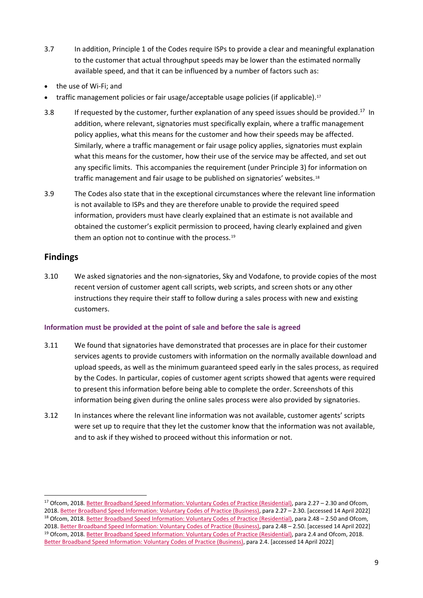- 3.7 In addition, Principle 1 of the Codes require ISPs to provide a clear and meaningful explanation to the customer that actual throughput speeds may be lower than the estimated normally available speed, and that it can be influenced by a number of factors such as:
- the use of Wi-Fi; and
- <span id="page-8-0"></span>traffic management policies or fair usage/acceptable usage policies (if applicable).<sup>[17](#page-8-1)</sup>
- 3.8 If requested by the customer, further explanation of any speed issues should be provided.<sup>[17](#page-8-0)</sup> In addition, where relevant, signatories must specifically explain, where a traffic management policy applies, what this means for the customer and how their speeds may be affected. Similarly, where a traffic management or fair usage policy applies, signatories must explain what this means for the customer, how their use of the service may be affected, and set out any specific limits. This accompanies the requirement (under Principle 3) for information on traffic management and fair usage to be published on signatories' websites.[18](#page-8-2)
- 3.9 The Codes also state that in the exceptional circumstances where the relevant line information is not available to ISPs and they are therefore unable to provide the required speed information, providers must have clearly explained that an estimate is not available and obtained the customer's explicit permission to proceed, having clearly explained and given them an option not to continue with the process.<sup>[19](#page-8-3)</sup>

### **Findings**

3.10 We asked signatories and the non-signatories, Sky and Vodafone, to provide copies of the most recent version of customer agent call scripts, web scripts, and screen shots or any other instructions they require their staff to follow during a sales process with new and existing customers.

#### **Information must be provided at the point of sale and before the sale is agreed**

- 3.11 We found that signatories have demonstrated that processes are in place for their customer services agents to provide customers with information on the normally available download and upload speeds, as well as the minimum guaranteed speed early in the sales process, as required by the Codes. In particular, copies of customer agent scripts showed that agents were required to present this information before being able to complete the order. Screenshots of this information being given during the online sales process were also provided by signatories.
- 3.12 In instances where the relevant line information was not available, customer agents' scripts were set up to require that they let the customer know that the information was not available. and to ask if they wished to proceed without this information or not.

<span id="page-8-3"></span><span id="page-8-2"></span><span id="page-8-1"></span><sup>17</sup> Ofcom, 2018[. Better Broadband Speed Information: Voluntary Codes of Practice \(Residential\),](https://www.ofcom.org.uk/__data/assets/pdf_file/0026/111698/statement-voluntary-code-practice-residential.pdf) para 2.27 - 2.30 and Ofcom, 2018. [Better Broadband Speed Information: Voluntary Codes of Practice \(Business\),](https://www.ofcom.org.uk/__data/assets/pdf_file/0027/111699/statement-voluntary-code-practice-business.pdf) para 2.27 – 2.30. [accessed 14 April 2022] 18 Ofcom, 2018[. Better Broadband Speed Information: Voluntary Codes of Practice \(Residential\),](https://www.ofcom.org.uk/__data/assets/pdf_file/0026/111698/statement-voluntary-code-practice-residential.pdf) para 2.48 - 2.50 and Ofcom, 2018. [Better Broadband Speed Information: Voluntary Codes of Practice \(Business\),](https://www.ofcom.org.uk/__data/assets/pdf_file/0027/111699/statement-voluntary-code-practice-business.pdf) para 2.48 – 2.50. [accessed 14 April 2022] <sup>19</sup> Ofcom, 2018[. Better Broadband Speed Information: Voluntary Codes of Practice \(Residential\),](https://www.ofcom.org.uk/__data/assets/pdf_file/0026/111698/statement-voluntary-code-practice-residential.pdf) para 2.4 and Ofcom, 2018. [Better Broadband Speed Information: Voluntary Codes of Practice \(Business\),](https://www.ofcom.org.uk/__data/assets/pdf_file/0027/111699/statement-voluntary-code-practice-business.pdf) para 2.4. [accessed 14 April 2022]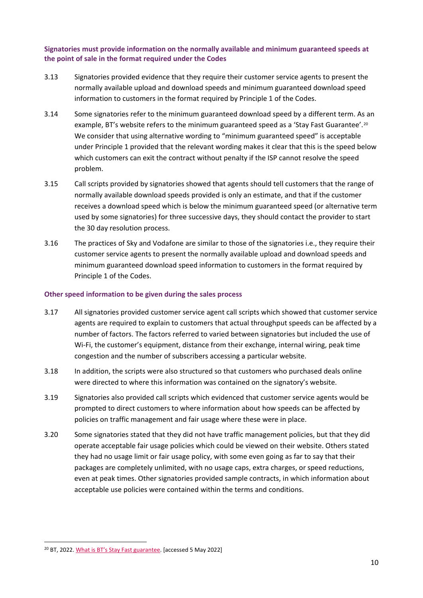**Signatories must provide information on the normally available and minimum guaranteed speeds at the point of sale in the format required under the Codes**

- 3.13 Signatories provided evidence that they require their customer service agents to present the normally available upload and download speeds and minimum guaranteed download speed information to customers in the format required by Principle 1 of the Codes.
- 3.14 Some signatories refer to the minimum guaranteed download speed by a different term. As an example, BT's website refers to the minimum guaranteed speed as a 'Stay Fast Guarantee'.<sup>[20](#page-9-0)</sup> We consider that using alternative wording to "minimum guaranteed speed" is acceptable under Principle 1 provided that the relevant wording makes it clear that this is the speed below which customers can exit the contract without penalty if the ISP cannot resolve the speed problem.
- 3.15 Call scripts provided by signatories showed that agents should tell customers that the range of normally available download speeds provided is only an estimate, and that if the customer receives a download speed which is below the minimum guaranteed speed (or alternative term used by some signatories) for three successive days, they should contact the provider to start the 30 day resolution process.
- 3.16 The practices of Sky and Vodafone are similar to those of the signatories i.e., they require their customer service agents to present the normally available upload and download speeds and minimum guaranteed download speed information to customers in the format required by Principle 1 of the Codes.

#### **Other speed information to be given during the sales process**

- 3.17 All signatories provided customer service agent call scripts which showed that customer service agents are required to explain to customers that actual throughput speeds can be affected by a number of factors. The factors referred to varied between signatories but included the use of Wi-Fi, the customer's equipment, distance from their exchange, internal wiring, peak time congestion and the number of subscribers accessing a particular website.
- 3.18 In addition, the scripts were also structured so that customers who purchased deals online were directed to where this information was contained on the signatory's website.
- 3.19 Signatories also provided call scripts which evidenced that customer service agents would be prompted to direct customers to where information about how speeds can be affected by policies on traffic management and fair usage where these were in place.
- 3.20 Some signatories stated that they did not have traffic management policies, but that they did operate acceptable fair usage policies which could be viewed on their website. Others stated they had no usage limit or fair usage policy, with some even going as far to say that their packages are completely unlimited, with no usage caps, extra charges, or speed reductions, even at peak times. Other signatories provided sample contracts, in which information about acceptable use policies were contained within the terms and conditions.

<span id="page-9-0"></span><sup>&</sup>lt;sup>20</sup> BT, 2022[. What is BT's Stay Fast guarantee.](https://www.bt.com/help/broadband/what-is-bt-s-stay-fast-guarantee-) [accessed 5 May 2022]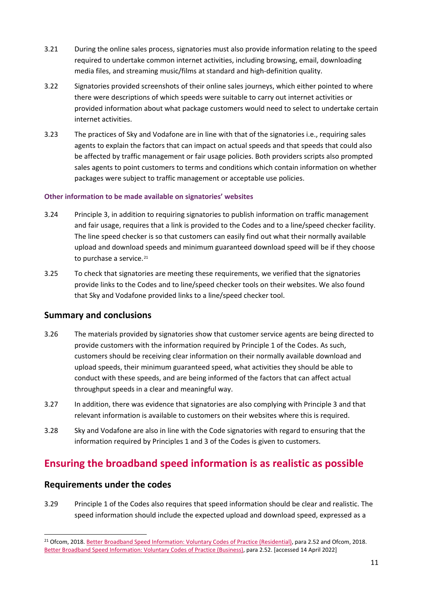- 3.21 During the online sales process, signatories must also provide information relating to the speed required to undertake common internet activities, including browsing, email, downloading media files, and streaming music/films at standard and high-definition quality.
- 3.22 Signatories provided screenshots of their online sales journeys, which either pointed to where there were descriptions of which speeds were suitable to carry out internet activities or provided information about what package customers would need to select to undertake certain internet activities.
- 3.23 The practices of Sky and Vodafone are in line with that of the signatories i.e., requiring sales agents to explain the factors that can impact on actual speeds and that speeds that could also be affected by traffic management or fair usage policies. Both providers scripts also prompted sales agents to point customers to terms and conditions which contain information on whether packages were subject to traffic management or acceptable use policies.

#### **Other information to be made available on signatories' websites**

- 3.24 Principle 3, in addition to requiring signatories to publish information on traffic management and fair usage, requires that a link is provided to the Codes and to a line/speed checker facility. The line speed checker is so that customers can easily find out what their normally available upload and download speeds and minimum guaranteed download speed will be if they choose to purchase a service.<sup>[21](#page-10-0)</sup>
- 3.25 To check that signatories are meeting these requirements, we verified that the signatories provide links to the Codes and to line/speed checker tools on their websites. We also found that Sky and Vodafone provided links to a line/speed checker tool.

#### **Summary and conclusions**

- 3.26 The materials provided by signatories show that customer service agents are being directed to provide customers with the information required by Principle 1 of the Codes. As such, customers should be receiving clear information on their normally available download and upload speeds, their minimum guaranteed speed, what activities they should be able to conduct with these speeds, and are being informed of the factors that can affect actual throughput speeds in a clear and meaningful way.
- 3.27 In addition, there was evidence that signatories are also complying with Principle 3 and that relevant information is available to customers on their websites where this is required.
- 3.28 Sky and Vodafone are also in line with the Code signatories with regard to ensuring that the information required by Principles 1 and 3 of the Codes is given to customers.

## **Ensuring the broadband speed information is as realistic as possible**

#### **Requirements under the codes**

3.29 Principle 1 of the Codes also requires that speed information should be clear and realistic. The speed information should include the expected upload and download speed, expressed as a

<span id="page-10-0"></span><sup>&</sup>lt;sup>21</sup> Ofcom, 2018[. Better Broadband Speed Information: Voluntary Codes of Practice \(Residential\),](https://www.ofcom.org.uk/__data/assets/pdf_file/0026/111698/statement-voluntary-code-practice-residential.pdf) para 2.52 and Ofcom, 2018. [Better Broadband Speed Information: Voluntary Codes of Practice \(Business\),](https://www.ofcom.org.uk/__data/assets/pdf_file/0027/111699/statement-voluntary-code-practice-business.pdf) para 2.52. [accessed 14 April 2022]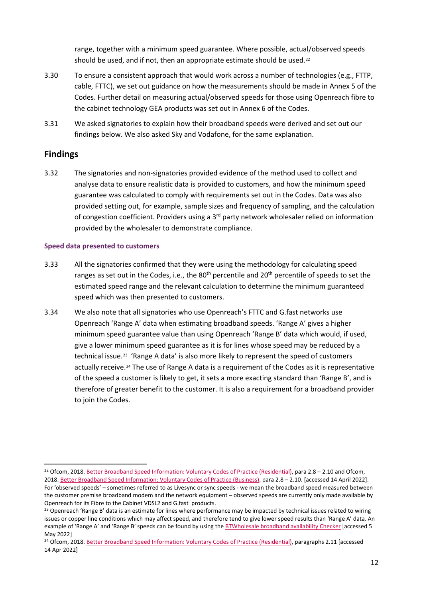range, together with a minimum speed guarantee. Where possible, actual/observed speeds should be used, and if not, then an appropriate estimate should be used.<sup>[22](#page-11-0)</sup>

- 3.30 To ensure a consistent approach that would work across a number of technologies (e.g., FTTP, cable, FTTC), we set out guidance on how the measurements should be made in Annex 5 of the Codes. Further detail on measuring actual/observed speeds for those using Openreach fibre to the cabinet technology GEA products was set out in Annex 6 of the Codes.
- 3.31 We asked signatories to explain how their broadband speeds were derived and set out our findings below. We also asked Sky and Vodafone, for the same explanation.

### **Findings**

3.32 The signatories and non-signatories provided evidence of the method used to collect and analyse data to ensure realistic data is provided to customers, and how the minimum speed guarantee was calculated to comply with requirements set out in the Codes. Data was also provided setting out, for example, sample sizes and frequency of sampling, and the calculation of congestion coefficient. Providers using a 3rd party network wholesaler relied on information provided by the wholesaler to demonstrate compliance.

#### **Speed data presented to customers**

- 3.33 All the signatories confirmed that they were using the methodology for calculating speed ranges as set out in the Codes, i.e., the 80<sup>th</sup> percentile and 20<sup>th</sup> percentile of speeds to set the estimated speed range and the relevant calculation to determine the minimum guaranteed speed which was then presented to customers.
- 3.34 We also note that all signatories who use Openreach's FTTC and G.fast networks use Openreach 'Range A' data when estimating broadband speeds. 'Range A' gives a higher minimum speed guarantee value than using Openreach 'Range B' data which would, if used, give a lower minimum speed guarantee as it is for lines whose speed may be reduced by a technical issue.[23](#page-11-1) 'Range A data' is also more likely to represent the speed of customers actually receive.<sup>[24](#page-11-2)</sup> The use of Range A data is a requirement of the Codes as it is representative of the speed a customer is likely to get, it sets a more exacting standard than 'Range B', and is therefore of greater benefit to the customer. It is also a requirement for a broadband provider to join the Codes.

<span id="page-11-0"></span><sup>&</sup>lt;sup>22</sup> Ofcom, 2018[. Better Broadband Speed Information: Voluntary Codes of Practice \(Residential\),](https://www.ofcom.org.uk/__data/assets/pdf_file/0026/111698/statement-voluntary-code-practice-residential.pdf) para 2.8 – 2.10 and Ofcom, 2018. [Better Broadband Speed Information: Voluntary Codes of Practice \(Business\),](https://www.ofcom.org.uk/__data/assets/pdf_file/0027/111699/statement-voluntary-code-practice-business.pdf) para 2.8 – 2.10. [accessed 14 April 2022]. For 'observed speeds' – sometimes referred to as Livesync or sync speeds - we mean the broadband speed measured between the customer premise broadband modem and the network equipment – observed speeds are currently only made available by Openreach for its Fibre to the Cabinet VDSL2 and G.fast products.

<span id="page-11-1"></span><sup>&</sup>lt;sup>23</sup> Openreach 'Range B' data is an estimate for lines where performance may be impacted by technical issues related to wiring issues or copper line conditions which may affect speed, and therefore tend to give lower speed results than 'Range A' data. An example of 'Range A' and 'Range B' speeds can be found by using the [BTWholesale broadband availability Checker](https://www.broadbandchecker.btwholesale.com/#/ADSL) [accessed 5 May 2022]

<span id="page-11-2"></span><sup>&</sup>lt;sup>24</sup> Ofcom, 2018[. Better Broadband Speed Information: Voluntary Codes of Practice \(Residential\),](https://www.ofcom.org.uk/__data/assets/pdf_file/0026/111698/statement-voluntary-code-practice-residential.pdf) paragraphs 2.11 [accessed 14 Apr 2022]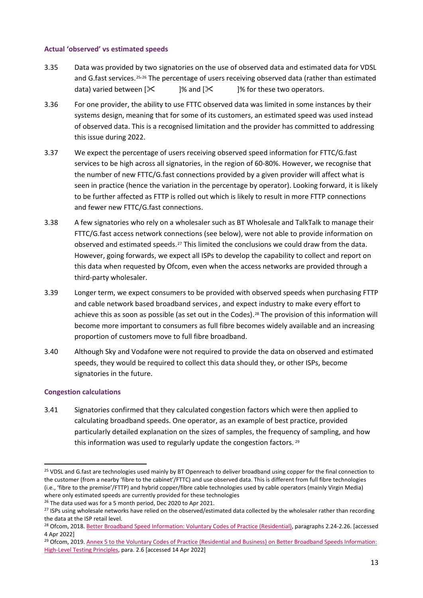#### **Actual 'observed' vs estimated speeds**

- 3.35 Data was provided by two signatories on the use of observed data and estimated data for VDSL and G.fast services.<sup>[25,](#page-12-0)[26](#page-12-1)</sup> The percentage of users receiving observed data (rather than estimated data) varied between  $[\mathbb{X}]$ % and  $[\mathbb{X}]$ % for these two operators.
- 3.36 For one provider, the ability to use FTTC observed data was limited in some instances by their systems design, meaning that for some of its customers, an estimated speed was used instead of observed data. This is a recognised limitation and the provider has committed to addressing this issue during 2022.
- 3.37 We expect the percentage of users receiving observed speed information for FTTC/G.fast services to be high across all signatories, in the region of 60-80%. However, we recognise that the number of new FTTC/G.fast connections provided by a given provider will affect what is seen in practice (hence the variation in the percentage by operator). Looking forward, it is likely to be further affected as FTTP is rolled out which is likely to result in more FTTP connections and fewer new FTTC/G.fast connections.
- 3.38 A few signatories who rely on a wholesaler such as BT Wholesale and TalkTalk to manage their FTTC/G.fast access network connections (see below), were not able to provide information on observed and estimated speeds.<sup>[27](#page-12-2)</sup> This limited the conclusions we could draw from the data. However, going forwards, we expect all ISPs to develop the capability to collect and report on this data when requested by Ofcom, even when the access networks are provided through a third-party wholesaler.
- 3.39 Longer term, we expect consumers to be provided with observed speeds when purchasing FTTP and cable network based broadband services, and expect industry to make every effort to achieve this as soon as possible (as set out in the Codes).<sup>[28](#page-12-3)</sup> The provision of this information will become more important to consumers as full fibre becomes widely available and an increasing proportion of customers move to full fibre broadband.
- 3.40 Although Sky and Vodafone were not required to provide the data on observed and estimated speeds, they would be required to collect this data should they, or other ISPs, become signatories in the future.

#### **Congestion calculations**

3.41 Signatories confirmed that they calculated congestion factors which were then applied to calculating broadband speeds. One operator, as an example of best practice, provided particularly detailed explanation on the sizes of samples, the frequency of sampling, and how this information was used to regularly update the congestion factors. [29](#page-12-4)

<span id="page-12-5"></span><span id="page-12-0"></span><sup>&</sup>lt;sup>25</sup> VDSL and G.fast are technologies used mainly by BT Openreach to deliver broadband using copper for the final connection to the customer (from a nearby 'fibre to the cabinet'/FTTC) and use observed data. This is different from full fibre technologies (i.e., 'fibre to the premise'/FTTP) and hybrid copper/fibre cable technologies used by cable operators (mainly Virgin Media) where only estimated speeds are currently provided for these technologies

<span id="page-12-1"></span><sup>&</sup>lt;sup>26</sup> The data used was for a 5 month period, Dec 2020 to Apr 2021.

<span id="page-12-2"></span><sup>&</sup>lt;sup>27</sup> ISPs using wholesale networks have relied on the observed/estimated data collected by the wholesaler rather than recording the data at the ISP retail level.

<span id="page-12-3"></span><sup>&</sup>lt;sup>28</sup> Ofcom, 2018[. Better Broadband Speed Information: Voluntary Codes of Practice \(Residential\),](https://www.ofcom.org.uk/__data/assets/pdf_file/0026/111698/statement-voluntary-code-practice-residential.pdf) paragraphs 2.24-2.26. [accessed 4 Apr 2022]

<span id="page-12-4"></span><sup>&</sup>lt;sup>29</sup> Ofcom, 2019. Annex 5 to the Voluntary Codes of Practice (Residential and Business) on Better Broadband Speeds Information: [High-Level Testing Principles,](https://www.ofcom.org.uk/__data/assets/pdf_file/0025/111697/annex-5-testing-principles.pdf) para. 2.6 [accessed 14 Apr 2022]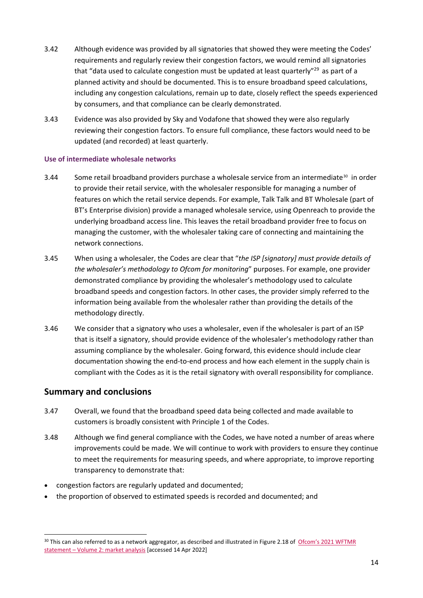- 3.42 Although evidence was provided by all signatories that showed they were meeting the Codes' requirements and regularly review their congestion factors, we would remind all signatories that "data used to calculate congestion must be updated at least quarterly"<sup>29</sup> as part of a planned activity and should be documented. This is to ensure broadband speed calculations, including any congestion calculations, remain up to date, closely reflect the speeds experienced by consumers, and that compliance can be clearly demonstrated.
- 3.43 Evidence was also provided by Sky and Vodafone that showed they were also regularly reviewing their congestion factors. To ensure full compliance, these factors would need to be updated (and recorded) at least quarterly.

#### **Use of intermediate wholesale networks**

- 3.44 Some retail broadband providers purchase a wholesale service from an intermediate<sup>[30](#page-13-0)</sup> in order to provide their retail service, with the wholesaler responsible for managing a number of features on which the retail service depends. For example, Talk Talk and BT Wholesale (part of BT's Enterprise division) provide a managed wholesale service, using Openreach to provide the underlying broadband access line. This leaves the retail broadband provider free to focus on managing the customer, with the wholesaler taking care of connecting and maintaining the network connections.
- 3.45 When using a wholesaler, the Codes are clear that "*the ISP [signatory] must provide details of the wholesaler's methodology to Ofcom for monitoring*" purposes. For example, one provider demonstrated compliance by providing the wholesaler's methodology used to calculate broadband speeds and congestion factors. In other cases, the provider simply referred to the information being available from the wholesaler rather than providing the details of the methodology directly.
- 3.46 We consider that a signatory who uses a wholesaler, even if the wholesaler is part of an ISP that is itself a signatory, should provide evidence of the wholesaler's methodology rather than assuming compliance by the wholesaler. Going forward, this evidence should include clear documentation showing the end-to-end process and how each element in the supply chain is compliant with the Codes as it is the retail signatory with overall responsibility for compliance.

#### **Summary and conclusions**

- 3.47 Overall, we found that the broadband speed data being collected and made available to customers is broadly consistent with Principle 1 of the Codes.
- 3.48 Although we find general compliance with the Codes, we have noted a number of areas where improvements could be made. We will continue to work with providers to ensure they continue to meet the requirements for measuring speeds, and where appropriate, to improve reporting transparency to demonstrate that:
- congestion factors are regularly updated and documented;
- the proportion of observed to estimated speeds is recorded and documented; and

<span id="page-13-0"></span> $30$  This can also referred to as a network aggregator, as described and illustrated in Figure 2.18 of Ofcom's 2021 WFTMR statement – [Volume 2: market analysis](https://www.ofcom.org.uk/__data/assets/pdf_file/0023/216086/wftmr-statement-volume-2-market-analysis.pdf) [accessed 14 Apr 2022]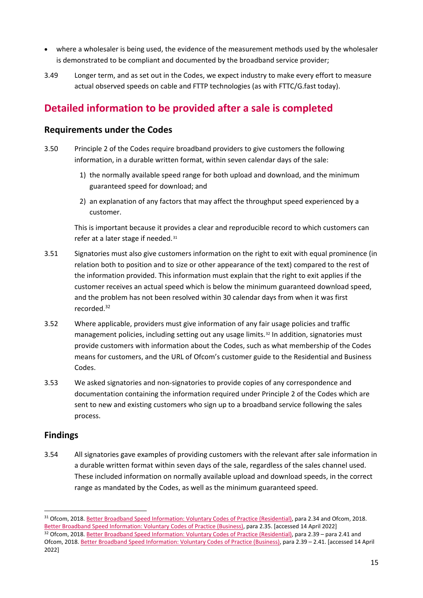- where a wholesaler is being used, the evidence of the measurement methods used by the wholesaler is demonstrated to be compliant and documented by the broadband service provider;
- 3.49 Longer term, and as set out in the Codes, we expect industry to make every effort to measure actual observed speeds on cable and FTTP technologies (as with FTTC/G.fast today).

## **Detailed information to be provided after a sale is completed**

### **Requirements under the Codes**

- 3.50 Principle 2 of the Codes require broadband providers to give customers the following information, in a durable written format, within seven calendar days of the sale:
	- 1) the normally available speed range for both upload and download, and the minimum guaranteed speed for download; and
	- 2) an explanation of any factors that may affect the throughput speed experienced by a customer.

<span id="page-14-0"></span>This is important because it provides a clear and reproducible record to which customers can refer at a later stage if needed.<sup>[31](#page-14-1)</sup>

- 3.51 Signatories must also give customers information on the right to exit with equal prominence (in relation both to position and to size or other appearance of the text) compared to the rest of the information provided. This information must explain that the right to exit applies if the customer receives an actual speed which is below the minimum guaranteed download speed, and the problem has not been resolved within 30 calendar days from when it was first recorded. [32](#page-14-0)
- 3.52 Where applicable, providers must give information of any fair usage policies and traffic management policies, including setting out any usage limits.<sup>[32](#page-14-2)</sup> In addition, signatories must provide customers with information about the Codes, such as what membership of the Codes means for customers, and the URL of Ofcom's customer guide to the Residential and Business Codes.
- 3.53 We asked signatories and non-signatories to provide copies of any correspondence and documentation containing the information required under Principle 2 of the Codes which are sent to new and existing customers who sign up to a broadband service following the sales process.

## **Findings**

3.54 All signatories gave examples of providing customers with the relevant after sale information in a durable written format within seven days of the sale, regardless of the sales channel used. These included information on normally available upload and download speeds, in the correct range as mandated by the Codes, as well as the minimum guaranteed speed.

<span id="page-14-2"></span><span id="page-14-1"></span><sup>&</sup>lt;sup>31</sup> Ofcom, 2018[. Better Broadband Speed Information: Voluntary Codes of Practice \(Residential\),](https://www.ofcom.org.uk/__data/assets/pdf_file/0026/111698/statement-voluntary-code-practice-residential.pdf) para 2.34 and Ofcom, 2018. [Better Broadband Speed Information: Voluntary Codes of Practice \(Business\),](https://www.ofcom.org.uk/__data/assets/pdf_file/0027/111699/statement-voluntary-code-practice-business.pdf) para 2.35. [accessed 14 April 2022] <sup>32</sup> Ofcom, 2018[. Better Broadband Speed Information: Voluntary Codes of Practice \(Residential\),](https://www.ofcom.org.uk/__data/assets/pdf_file/0026/111698/statement-voluntary-code-practice-residential.pdf) para 2.39 – para 2.41 and Ofcom, 2018[. Better Broadband Speed Information: Voluntary Codes of Practice \(Business\),](https://www.ofcom.org.uk/__data/assets/pdf_file/0027/111699/statement-voluntary-code-practice-business.pdf) para 2.39 – 2.41. [accessed 14 April 2022]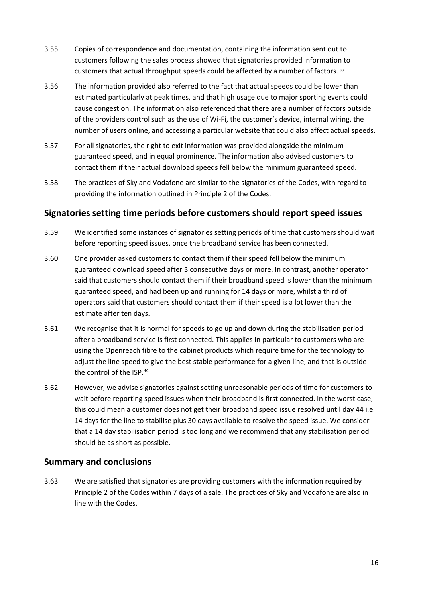- 3.55 Copies of correspondence and documentation, containing the information sent out to customers following the sales process showed that signatories provided information to customers that actual throughput speeds could be affected by a number of factors. [33](#page-15-0)
- 3.56 The information provided also referred to the fact that actual speeds could be lower than estimated particularly at peak times, and that high usage due to major sporting events could cause congestion. The information also referenced that there are a number of factors outside of the providers control such as the use of Wi-Fi, the customer's device, internal wiring, the number of users online, and accessing a particular website that could also affect actual speeds.
- 3.57 For all signatories, the right to exit information was provided alongside the minimum guaranteed speed, and in equal prominence. The information also advised customers to contact them if their actual download speeds fell below the minimum guaranteed speed.
- 3.58 The practices of Sky and Vodafone are similar to the signatories of the Codes, with regard to providing the information outlined in Principle 2 of the Codes.

### **Signatories setting time periods before customers should report speed issues**

- 3.59 We identified some instances of signatories setting periods of time that customers should wait before reporting speed issues, once the broadband service has been connected.
- 3.60 One provider asked customers to contact them if their speed fell below the minimum guaranteed download speed after 3 consecutive days or more. In contrast, another operator said that customers should contact them if their broadband speed is lower than the minimum guaranteed speed, and had been up and running for 14 days or more, whilst a third of operators said that customers should contact them if their speed is a lot lower than the estimate after ten days.
- 3.61 We recognise that it is normal for speeds to go up and down during the stabilisation period after a broadband service is first connected. This applies in particular to customers who are using the Openreach fibre to the cabinet products which require time for the technology to adjust the line speed to give the best stable performance for a given line, and that is outside the control of the ISP.<sup>[34](#page-16-0)</sup>
- 3.62 However, we advise signatories against setting unreasonable periods of time for customers to wait before reporting speed issues when their broadband is first connected. In the worst case, this could mean a customer does not get their broadband speed issue resolved until day 44 i.e. 14 days for the line to stabilise plus 30 days available to resolve the speed issue. We consider that a 14 day stabilisation period is too long and we recommend that any stabilisation period should be as short as possible.

### **Summary and conclusions**

<span id="page-15-0"></span>3.63 We are satisfied that signatories are providing customers with the information required by Principle 2 of the Codes within 7 days of a sale. The practices of Sky and Vodafone are also in line with the Codes.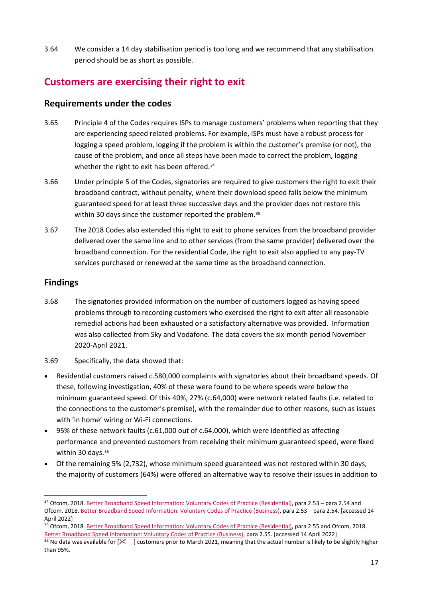3.64 We consider a 14 day stabilisation period is too long and we recommend that any stabilisation period should be as short as possible.

## **Customers are exercising their right to exit**

## **Requirements under the codes**

- 3.65 Principle 4 of the Codes requires ISPs to manage customers' problems when reporting that they are experiencing speed related problems. For example, ISPs must have a robust process for logging a speed problem, logging if the problem is within the customer's premise (or not), the cause of the problem, and once all steps have been made to correct the problem, logging whether the right to exit has been offered.<sup>[34](#page-16-1)</sup>
- <span id="page-16-0"></span>3.66 Under principle 5 of the Codes, signatories are required to give customers the right to exit their broadband contract, without penalty, where their download speed falls below the minimum guaranteed speed for at least three successive days and the provider does not restore this within 30 days since the customer reported the problem.<sup>[35](#page-16-2)</sup>
- 3.67 The 2018 Codes also extended this right to exit to phone services from the broadband provider delivered over the same line and to other services (from the same provider) delivered over the broadband connection. For the residential Code, the right to exit also applied to any pay-TV services purchased or renewed at the same time as the broadband connection.

## **Findings**

- 3.68 The signatories provided information on the number of customers logged as having speed problems through to recording customers who exercised the right to exit after all reasonable remedial actions had been exhausted or a satisfactory alternative was provided. Information was also collected from Sky and Vodafone. The data covers the six-month period November 2020-April 2021.
- 3.69 Specifically, the data showed that:
- Residential customers raised c.580,000 complaints with signatories about their broadband speeds. Of these, following investigation, 40% of these were found to be where speeds were below the minimum guaranteed speed. Of this 40%, 27% (c.64,000) were network related faults (i.e. related to the connections to the customer's premise), with the remainder due to other reasons, such as issues with 'in home' wiring or Wi-Fi connections.
- 95% of these network faults (c.61,000 out of c.64,000), which were identified as affecting performance and prevented customers from receiving their minimum guaranteed speed, were fixed within 30 days.<sup>[36](#page-16-3)</sup>
- Of the remaining 5% (2,732), whose minimum speed guaranteed was not restored within 30 days, the majority of customers (64%) were offered an alternative way to resolve their issues in addition to

<span id="page-16-1"></span><sup>34</sup> Ofcom, 2018[. Better Broadband Speed Information: Voluntary Codes of Practice \(Residential\),](https://www.ofcom.org.uk/__data/assets/pdf_file/0026/111698/statement-voluntary-code-practice-residential.pdf) para 2.53 - para 2.54 and Ofcom, 2018[. Better Broadband Speed Information: Voluntary Codes of Practice \(Business\),](https://www.ofcom.org.uk/__data/assets/pdf_file/0027/111699/statement-voluntary-code-practice-business.pdf) para 2.53 – para 2.54. [accessed 14 April 2022]

<span id="page-16-2"></span><sup>&</sup>lt;sup>35</sup> Ofcom, 2018[. Better Broadband Speed Information: Voluntary Codes of Practice \(Residential\),](https://www.ofcom.org.uk/__data/assets/pdf_file/0026/111698/statement-voluntary-code-practice-residential.pdf) para 2.55 and Ofcom, 2018. [Better Broadband Speed Information: Voluntary Codes of Practice \(Business\),](https://www.ofcom.org.uk/__data/assets/pdf_file/0027/111699/statement-voluntary-code-practice-business.pdf) para 2.55. [accessed 14 April 2022]

<span id="page-16-3"></span><sup>&</sup>lt;sup>36</sup> No data was available for  $\mathcal{X}$  l customers prior to March 2021, meaning that the actual number is likely to be slightly higher than 95%.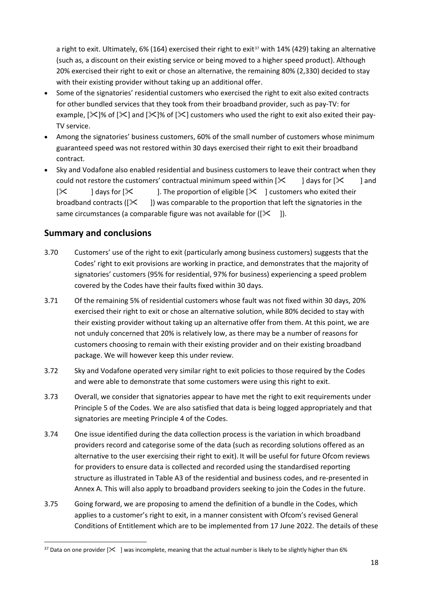a right to exit. Ultimately, 6% (164) exercised their right to exit<sup>[37](#page-17-0)</sup> with 14% (429) taking an alternative (such as, a discount on their existing service or being moved to a higher speed product). Although 20% exercised their right to exit or chose an alternative, the remaining 80% (2,330) decided to stay with their existing provider without taking up an additional offer.

- Some of the signatories' residential customers who exercised the right to exit also exited contracts for other bundled services that they took from their broadband provider, such as pay-TV: for example,  $[\times]$ % of  $[\times]$  and  $[\times]$ % of  $[\times]$  customers who used the right to exit also exited their pay-TV service.
- Among the signatories' business customers, 60% of the small number of customers whose minimum guaranteed speed was not restored within 30 days exercised their right to exit their broadband contract.
- Sky and Vodafone also enabled residential and business customers to leave their contract when they could not restore the customers' contractual minimum speed within  $[\frac{1}{2} \times ]$  days for  $[\frac{1}{2} \times ]$  and  $[\mathbb{X}]$  days for  $[\mathbb{X}]$ . The proportion of eligible  $[\mathbb{X}]$  customers who exited their broadband contracts ( $[\mathbb{X}]$ ) was comparable to the proportion that left the signatories in the same circumstances (a comparable figure was not available for  $([X \quad]).$

## **Summary and conclusions**

- 3.70 Customers' use of the right to exit (particularly among business customers) suggests that the Codes' right to exit provisions are working in practice, and demonstrates that the majority of signatories' customers (95% for residential, 97% for business) experiencing a speed problem covered by the Codes have their faults fixed within 30 days.
- 3.71 Of the remaining 5% of residential customers whose fault was not fixed within 30 days, 20% exercised their right to exit or chose an alternative solution, while 80% decided to stay with their existing provider without taking up an alternative offer from them. At this point, we are not unduly concerned that 20% is relatively low, as there may be a number of reasons for customers choosing to remain with their existing provider and on their existing broadband package. We will however keep this under review.
- 3.72 Sky and Vodafone operated very similar right to exit policies to those required by the Codes and were able to demonstrate that some customers were using this right to exit.
- 3.73 Overall, we consider that signatories appear to have met the right to exit requirements under Principle 5 of the Codes. We are also satisfied that data is being logged appropriately and that signatories are meeting Principle 4 of the Codes.
- 3.74 One issue identified during the data collection process is the variation in which broadband providers record and categorise some of the data (such as recording solutions offered as an alternative to the user exercising their right to exit). It will be useful for future Ofcom reviews for providers to ensure data is collected and recorded using the standardised reporting structure as illustrated in Table A3 of the residential and business codes, and re-presented in Annex A. This will also apply to broadband providers seeking to join the Codes in the future.
- 3.75 Going forward, we are proposing to amend the definition of a bundle in the Codes, which applies to a customer's right to exit, in a manner consistent with Ofcom's revised General Conditions of Entitlement which are to be implemented from 17 June 2022. The details of these

<span id="page-17-0"></span> $37$  Data on one provider  $\frac{1}{6}$  | was incomplete, meaning that the actual number is likely to be slightly higher than 6%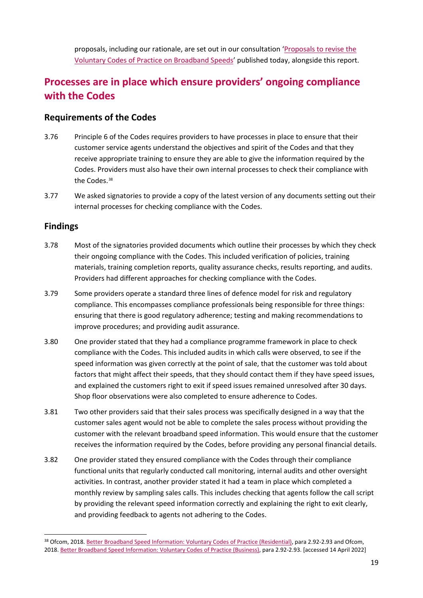proposals, including our rationale, are set out in our consultation ['Proposals to revise the](https://www.ofcom.org.uk/__data/assets/pdf_file/0023/237434/bbscop-gc-alignment-consultation.pdf)  [Voluntary Codes of Practice on Broadband Speeds'](https://www.ofcom.org.uk/__data/assets/pdf_file/0023/237434/bbscop-gc-alignment-consultation.pdf) published today, alongside this report.

## **Processes are in place which ensure providers' ongoing compliance with the Codes**

### **Requirements of the Codes**

- 3.76 Principle 6 of the Codes requires providers to have processes in place to ensure that their customer service agents understand the objectives and spirit of the Codes and that they receive appropriate training to ensure they are able to give the information required by the Codes. Providers must also have their own internal processes to check their compliance with the Codes.<sup>[38](#page-18-0)</sup>
- 3.77 We asked signatories to provide a copy of the latest version of any documents setting out their internal processes for checking compliance with the Codes.

## **Findings**

- 3.78 Most of the signatories provided documents which outline their processes by which they check their ongoing compliance with the Codes. This included verification of policies, training materials, training completion reports, quality assurance checks, results reporting, and audits. Providers had different approaches for checking compliance with the Codes.
- 3.79 Some providers operate a standard three lines of defence model for risk and regulatory compliance. This encompasses compliance professionals being responsible for three things: ensuring that there is good regulatory adherence; testing and making recommendations to improve procedures; and providing audit assurance.
- 3.80 One provider stated that they had a compliance programme framework in place to check compliance with the Codes. This included audits in which calls were observed, to see if the speed information was given correctly at the point of sale, that the customer was told about factors that might affect their speeds, that they should contact them if they have speed issues, and explained the customers right to exit if speed issues remained unresolved after 30 days. Shop floor observations were also completed to ensure adherence to Codes.
- 3.81 Two other providers said that their sales process was specifically designed in a way that the customer sales agent would not be able to complete the sales process without providing the customer with the relevant broadband speed information. This would ensure that the customer receives the information required by the Codes, before providing any personal financial details.
- 3.82 One provider stated they ensured compliance with the Codes through their compliance functional units that regularly conducted call monitoring, internal audits and other oversight activities. In contrast, another provider stated it had a team in place which completed a monthly review by sampling sales calls. This includes checking that agents follow the call script by providing the relevant speed information correctly and explaining the right to exit clearly, and providing feedback to agents not adhering to the Codes.

<span id="page-18-0"></span><sup>&</sup>lt;sup>38</sup> Ofcom, 2018[. Better Broadband Speed Information: Voluntary Codes of Practice \(Residential\),](https://www.ofcom.org.uk/__data/assets/pdf_file/0026/111698/statement-voluntary-code-practice-residential.pdf) para 2.92-2.93 and Ofcom, 2018. [Better Broadband Speed Information: Voluntary Codes of Practice \(Business\),](https://www.ofcom.org.uk/__data/assets/pdf_file/0027/111699/statement-voluntary-code-practice-business.pdf) para 2.92-2.93. [accessed 14 April 2022]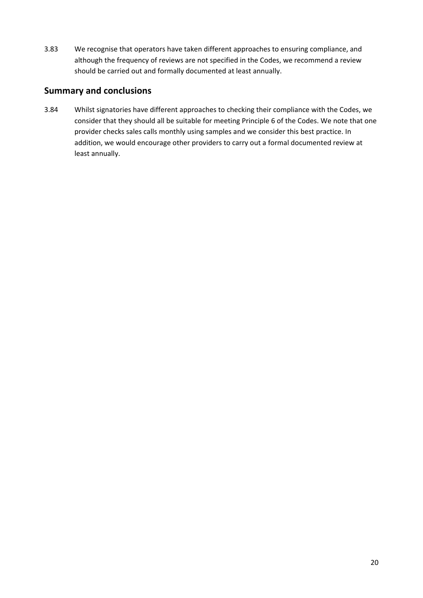3.83 We recognise that operators have taken different approaches to ensuring compliance, and although the frequency of reviews are not specified in the Codes, we recommend a review should be carried out and formally documented at least annually.

### **Summary and conclusions**

3.84 Whilst signatories have different approaches to checking their compliance with the Codes, we consider that they should all be suitable for meeting Principle 6 of the Codes. We note that one provider checks sales calls monthly using samples and we consider this best practice. In addition, we would encourage other providers to carry out a formal documented review at least annually.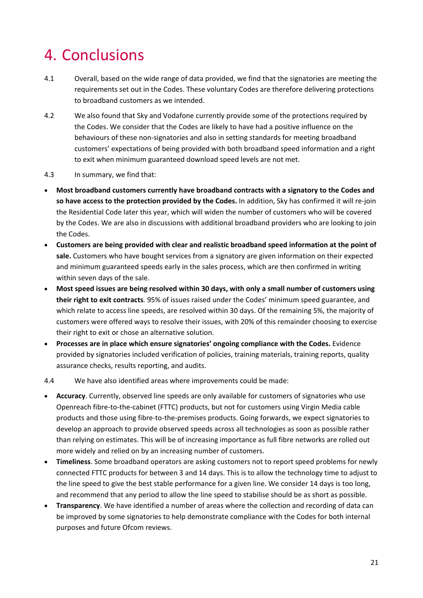# <span id="page-20-0"></span>4. Conclusions

- 4.1 Overall, based on the wide range of data provided, we find that the signatories are meeting the requirements set out in the Codes. These voluntary Codes are therefore delivering protections to broadband customers as we intended.
- 4.2 We also found that Sky and Vodafone currently provide some of the protections required by the Codes. We consider that the Codes are likely to have had a positive influence on the behaviours of these non-signatories and also in setting standards for meeting broadband customers' expectations of being provided with both broadband speed information and a right to exit when minimum guaranteed download speed levels are not met.
- 4.3 In summary, we find that:
- **Most broadband customers currently have broadband contracts with a signatory to the Codes and so have access to the protection provided by the Codes.** In addition, Sky has confirmed it will re-join the Residential Code later this year, which will widen the number of customers who will be covered by the Codes. We are also in discussions with additional broadband providers who are looking to join the Codes.
- **Customers are being provided with clear and realistic broadband speed information at the point of sale.** Customers who have bought services from a signatory are given information on their expected and minimum guaranteed speeds early in the sales process, which are then confirmed in writing within seven days of the sale.
- **Most speed issues are being resolved within 30 days, with only a small number of customers using their right to exit contracts***.* 95% of issues raised under the Codes' minimum speed guarantee, and which relate to access line speeds, are resolved within 30 days. Of the remaining 5%, the majority of customers were offered ways to resolve their issues, with 20% of this remainder choosing to exercise their right to exit or chose an alternative solution.
- **Processes are in place which ensure signatories' ongoing compliance with the Codes.** Evidence provided by signatories included verification of policies, training materials, training reports, quality assurance checks, results reporting, and audits.

#### 4.4 We have also identified areas where improvements could be made:

- **Accuracy**. Currently, observed line speeds are only available for customers of signatories who use Openreach fibre-to-the-cabinet (FTTC) products, but not for customers using Virgin Media cable products and those using fibre-to-the-premises products. Going forwards, we expect signatories to develop an approach to provide observed speeds across all technologies as soon as possible rather than relying on estimates. This will be of increasing importance as full fibre networks are rolled out more widely and relied on by an increasing number of customers.
- **Timeliness**. Some broadband operators are asking customers not to report speed problems for newly connected FTTC products for between 3 and 14 days. This is to allow the technology time to adjust to the line speed to give the best stable performance for a given line. We consider 14 days is too long, and recommend that any period to allow the line speed to stabilise should be as short as possible.
- **Transparency**. We have identified a number of areas where the collection and recording of data can be improved by some signatories to help demonstrate compliance with the Codes for both internal purposes and future Ofcom reviews.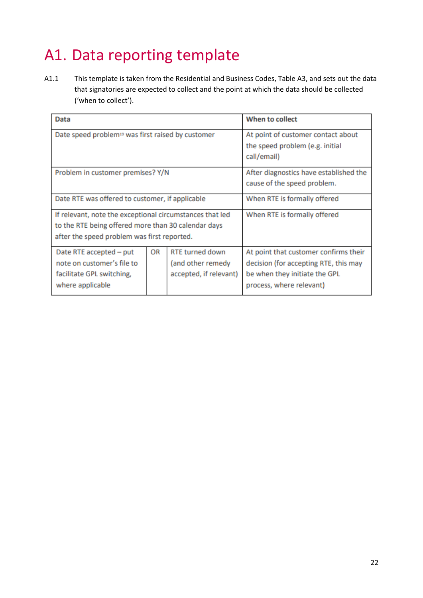# <span id="page-21-0"></span>A1. Data reporting template

A1.1 This template is taken from the Residential and Business Codes, Table A3, and sets out the data that signatories are expected to collect and the point at which the data should be collected ('when to collect').

| <b>Data</b>                                                                                                                                                    |    | When to collect                                                       |                                                                                                                                             |
|----------------------------------------------------------------------------------------------------------------------------------------------------------------|----|-----------------------------------------------------------------------|---------------------------------------------------------------------------------------------------------------------------------------------|
| Date speed problem <sup>19</sup> was first raised by customer                                                                                                  |    |                                                                       | At point of customer contact about<br>the speed problem (e.g. initial<br>call/email)                                                        |
| Problem in customer premises? Y/N                                                                                                                              |    | After diagnostics have established the<br>cause of the speed problem. |                                                                                                                                             |
| Date RTE was offered to customer, if applicable                                                                                                                |    | When RTE is formally offered                                          |                                                                                                                                             |
| If relevant, note the exceptional circumstances that led<br>to the RTE being offered more than 30 calendar days<br>after the speed problem was first reported. |    |                                                                       | When RTE is formally offered                                                                                                                |
| Date RTE accepted - put<br>note on customer's file to<br>facilitate GPL switching,<br>where applicable                                                         | OR | <b>RTE turned down</b><br>(and other remedy<br>accepted, if relevant) | At point that customer confirms their<br>decision (for accepting RTE, this may<br>be when they initiate the GPL<br>process, where relevant) |